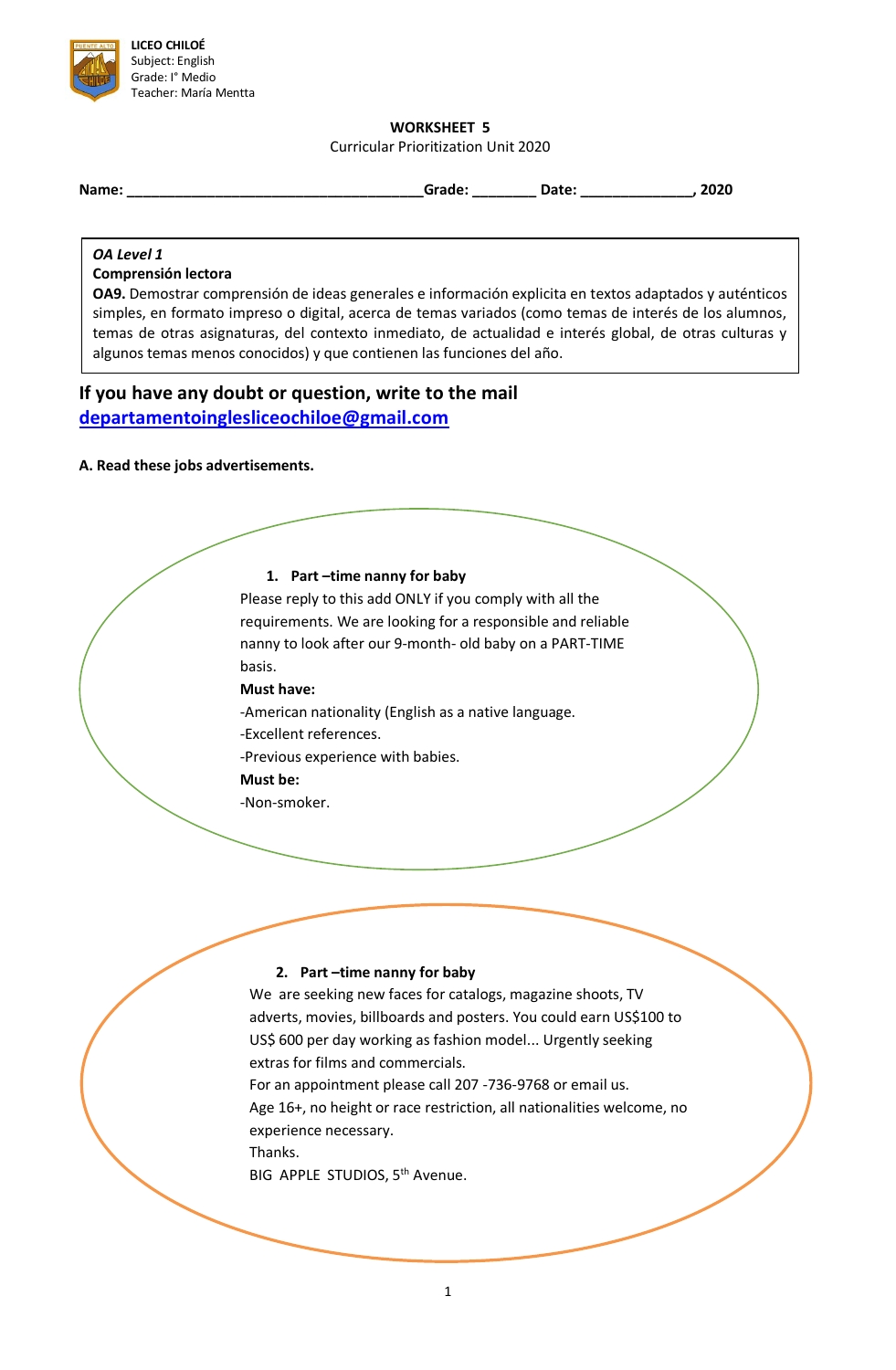

## **WORKSHEET 5**

Curricular Prioritization Unit 2020

**Name: \_\_\_\_\_\_\_\_\_\_\_\_\_\_\_\_\_\_\_\_\_\_\_\_\_\_\_\_\_\_\_\_\_\_\_\_\_Grade: \_\_\_\_\_\_\_\_ Date: \_\_\_\_\_\_\_\_\_\_\_\_\_\_, 2020**

#### *OA Level 1*

#### **Comprensión lectora**

**OA9.** Demostrar comprensión de ideas generales e información explicita en textos adaptados y auténticos simples, en formato impreso o digital, acerca de temas variados (como temas de interés de los alumnos, temas de otras asignaturas, del contexto inmediato, de actualidad e interés global, de otras culturas y algunos temas menos conocidos) y que contienen las funciones del año.

# **If you have any doubt or question, write to the mail [departamentoinglesliceochiloe@gmail.com](mailto:departamentoinglesliceochiloe@gmail.com)**

#### **A. Read these jobs advertisements.**

# **1. Part –time nanny for baby**

Please reply to this add ONLY if you comply with all the requirements. We are looking for a responsible and reliable nanny to look after our 9-month- old baby on a PART-TIME basis.

**Must have:**

- -American nationality (English as a native language.
- -Excellent references.
- -Previous experience with babies.
- **Must be:**
- -Non-smoker.

## **2. Part –time nanny for baby**

We are seeking new faces for catalogs, magazine shoots, TV adverts, movies, billboards and posters. You could earn US\$100 to US\$ 600 per day working as fashion model... Urgently seeking extras for films and commercials. For an appointment please call 207 -736-9768 or email us. Age 16+, no height or race restriction, all nationalities welcome, no experience necessary. Thanks. BIG APPLE STUDIOS, 5<sup>th</sup> Avenue.